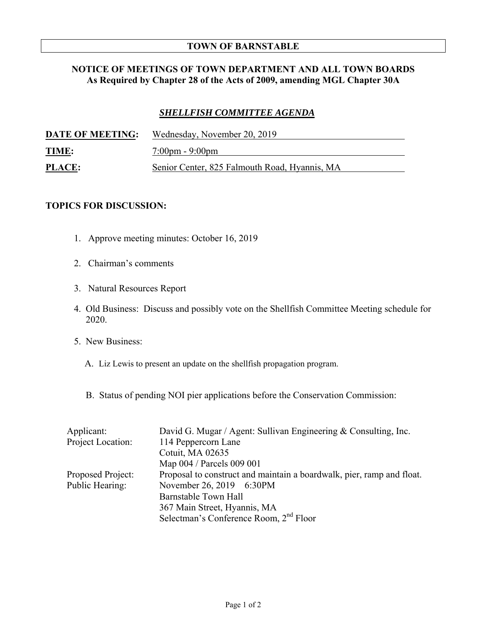## **TOWN OF BARNSTABLE**

## **NOTICE OF MEETINGS OF TOWN DEPARTMENT AND ALL TOWN BOARDS As Required by Chapter 28 of the Acts of 2009, amending MGL Chapter 30A**

## *SHELLFISH COMMITTEE AGENDA*

| <b>DATE OF MEETING:</b> | Wednesday, November 20, 2019                  |
|-------------------------|-----------------------------------------------|
| <u>TIME:</u>            | $7:00 \text{pm} - 9:00 \text{pm}$             |
| <b>PLACE:</b>           | Senior Center, 825 Falmouth Road, Hyannis, MA |

## **TOPICS FOR DISCUSSION:**

- 1. Approve meeting minutes: October 16, 2019
- 2. Chairman's comments
- 3. Natural Resources Report
- 4. Old Business: Discuss and possibly vote on the Shellfish Committee Meeting schedule for 2020.
- 5. New Business:
	- A. Liz Lewis to present an update on the shellfish propagation program.
	- B. Status of pending NOI pier applications before the Conservation Commission:

| Applicant:        | David G. Mugar / Agent: Sullivan Engineering & Consulting, Inc.       |
|-------------------|-----------------------------------------------------------------------|
| Project Location: | 114 Peppercorn Lane                                                   |
|                   | Cotuit, MA 02635                                                      |
|                   | Map 004 / Parcels 009 001                                             |
| Proposed Project: | Proposal to construct and maintain a boardwalk, pier, ramp and float. |
| Public Hearing:   | November 26, 2019 6:30PM                                              |
|                   | Barnstable Town Hall                                                  |
|                   | 367 Main Street, Hyannis, MA                                          |
|                   | Selectman's Conference Room, 2 <sup>nd</sup> Floor                    |